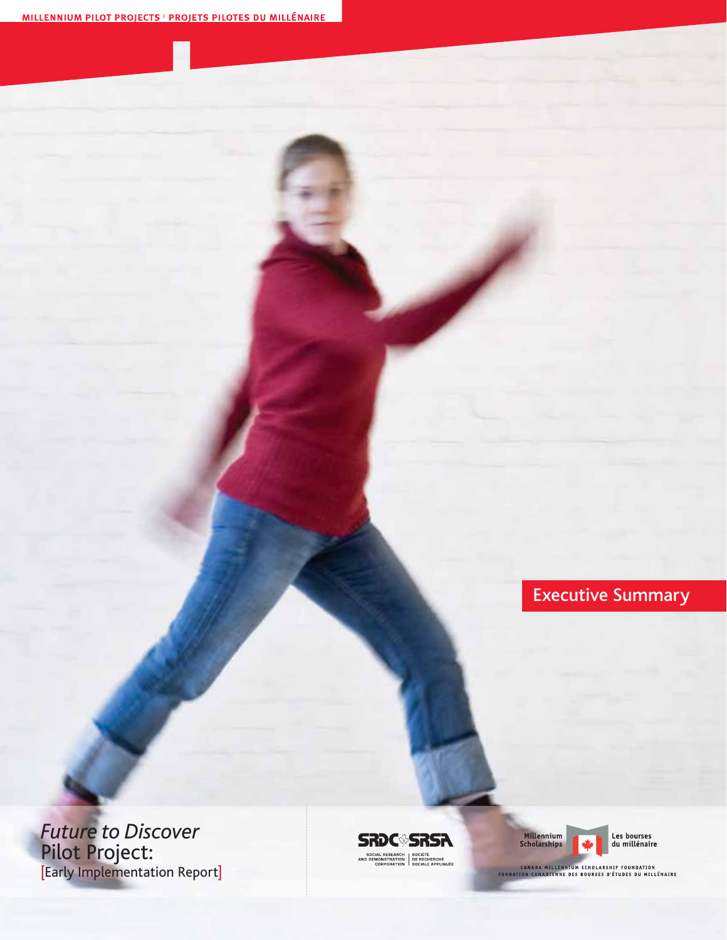Executive Summary

*Future to Discover*  Pilot Project: [Early Implementation Report]

**SRDC<sup>®</sup>SRSA** SOCIAL RESEARCH SOCIÉTÉ<br>AND DEMONSTRATION DE RECHERCHE<br>CORPORATION SOCIALE APPLIQUÉE



*Future to Discover:* Early Implementation Report – Executive Summary

Les bourses<br>du millénaire

CANADA MILLENNIUM SCHOLARSHIP FOUNDATION<br>FONDATION CANADIENNE DES BOURSES D'ÉTUDES DU MILLÉNAIRE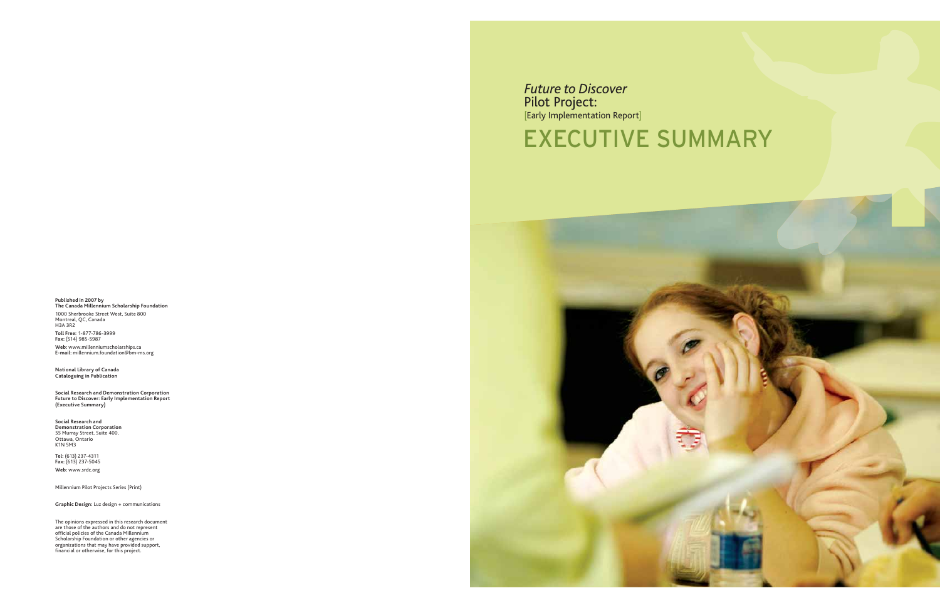### *Future to Discover*  Pilot Project: [Early Implementation Report]

## EXECUTIVE SUMMARY



**Published in 2007 by The Canada Millennium Scholarship Foundation**

1000 Sherbrooke Street West, Suite 800 Montreal, QC, Canada H3A 3R2 **Toll Free:** 1-877-786-3999 **Fax:** (514) 985-5987 **Web:** www.millenniumscholarships.ca **E-mail:** millennium.foundation@bm-ms.org

**National Library of Canada Cataloguing in Publication**

**Social Research and Demonstration Corporation Future to Discover: Early Implementation Report (Executive Summary)**

**Social Research and Demonstration Corporation** 55 Murray Street, Suite 400, Ottawa, Ontario K1N 5M3

**Tel:** (613) 237-4311 **Fax:** (613) 237-5045 **Web:** www.srdc.org

Millennium Pilot Projects Series (Print)

**Graphic Design:** Luz design + communications

The opinions expressed in this research document are those of the authors and do not represent official policies of the Canada Millennium Scholarship Foundation or other agencies or organizations that may have provided support, financial or otherwise, for this project.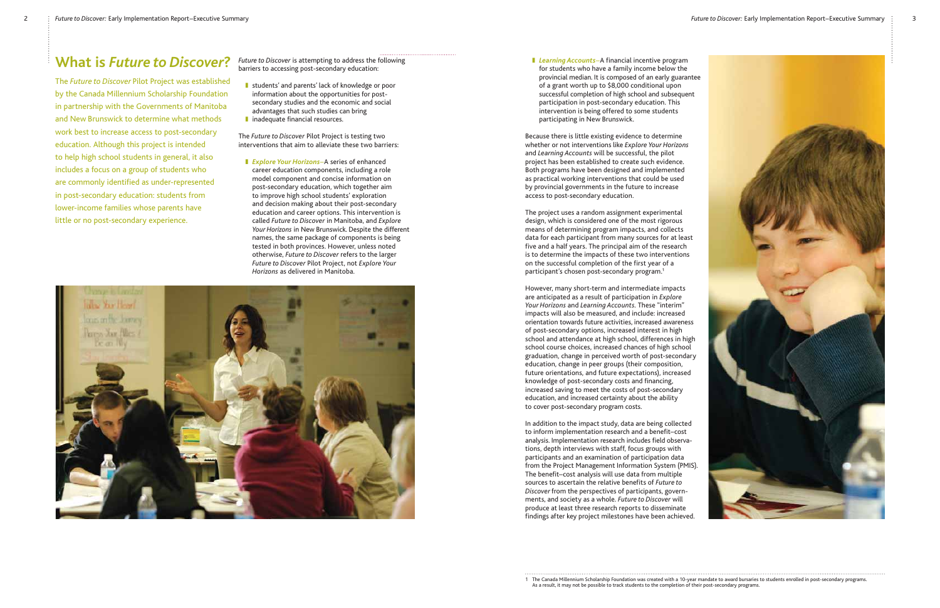*Future to Discover* is attempting to address the following barriers to accessing post-secondary education:

- students' and parents' lack of knowledge or poor information about the opportunities for postsecondary studies and the economic and social advantages that such studies can bring
- inadequate financial resources.

The *Future to Discover* Pilot Project is testing two interventions that aim to alleviate these two barriers:

**Explore Your Horizons** – A series of enhanced *career education components including a rol* career education components, including a role model component and concise information on post-secondary education, which together aim to improve high school students' exploration and decision making about their post-secondary education and career options. This intervention is called *Future to Discover* in Manitoba, and *Explore Your Horizons* in New Brunswick. Despite the different names, the same package of components is being tested in both provinces. However, unless noted otherwise, *Future to Discover* refers to the larger *Future to Discover* Pilot Project, not *Explore Your Horizons* as delivered in Manitoba.



**I** Learning Accounts–A financial incentive program<br>Star students who have a family income below the for students who have a family income below the provincial median. It is composed of an early guarantee of a grant worth up to \$8,000 conditional upon successful completion of high school and subsequent participation in post-secondary education. This intervention is being offered to some students participating in New Brunswick.

### **What is** *Future to Discover***?**

The *Future to Discover* Pilot Project was established by the Canada Millennium Scholarship Foundation in partnership with the Governments of Manitoba and New Brunswick to determine what methods work best to increase access to post-secondary education. Although this project is intended to help high school students in general, it also includes a focus on a group of students who are commonly identified as under-represented in post-secondary education: students from lower-income families whose parents have little or no post-secondary experience.

1 The Canada Millennium Scholarship Foundation was created with a 10-year mandate to award bursaries to students enrolled in post-secondary programs.



Because there is little existing evidence to determine whether or not interventions like *Explore Your Horizons* and *Learning Accounts* will be successful, the pilot project has been established to create such evidence. Both programs have been designed and implemented as practical working interventions that could be used by provincial governments in the future to increase access to post-secondary education.

The project uses a random assignment experimental design, which is considered one of the most rigorous means of determining program impacts, and collects data for each participant from many sources for at least five and a half years. The principal aim of the research is to determine the impacts of these two interventions on the successful completion of the first year of a participant's chosen post-secondary program.<sup>1</sup>

However, many short-term and intermediate impacts are anticipated as a result of participation in *Explore Your Horizons* and *Learning Accounts*. These "interim" impacts will also be measured, and include: increased orientation towards future activities, increased awareness of post-secondary options, increased interest in high school and attendance at high school, differences in high school course choices, increased chances of high school graduation, change in perceived worth of post-secondary education, change in peer groups (their composition, future orientations, and future expectations), increased knowledge of post-secondary costs and financing, increased saving to meet the costs of post-secondary education, and increased certainty about the ability to cover post-secondary program costs.

In addition to the impact study, data are being collected to inform implementation research and a benefit–cost analysis. Implementation research includes field observations, depth interviews with staff, focus groups with participants and an examination of participation data from the Project Management Information System (PMIS). The benefit–cost analysis will use data from multiple sources to ascertain the relative benefits of *Future to Discover* from the perspectives of participants, governments, and society as a whole. *Future to Discover* will produce at least three research reports to disseminate findings after key project milestones have been achieved.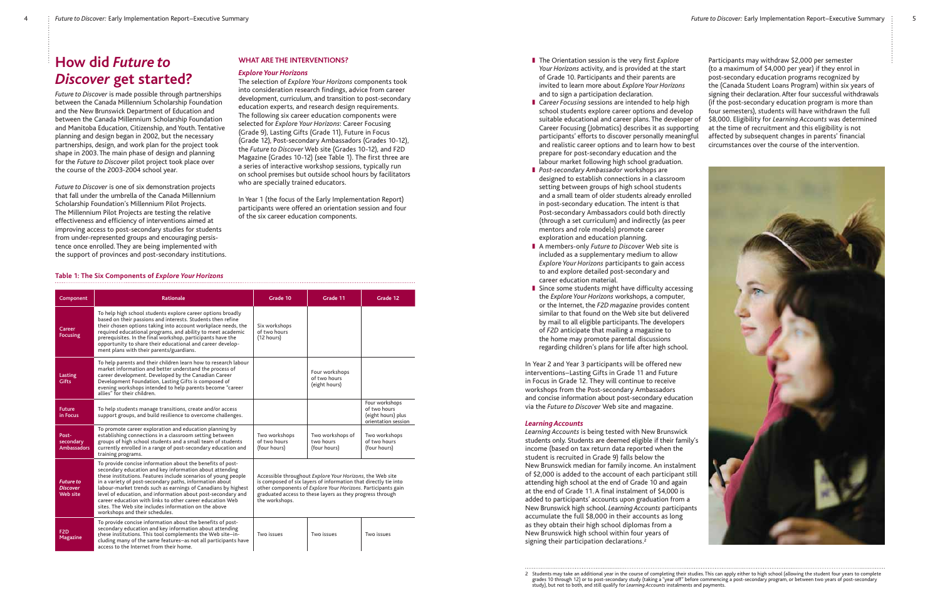2 Students may take an additional year in the course of completing their studies. This can apply either to high school (allowing the student four years to complete grades 10 through 12) or to post-secondary study (taking a "year off" before commencing a post-secondary program, or between two years of post-secondary

- The Orientation session is the very first *Explore Your Horizons* activity, and is provided at the start of Grade 10. Participants and their parents are invited to learn more about *Explore Your Horizons* and to sign a participation declaration.
- Career Focusing sessions are intended to help high school students explore career options and develop suitable educational and career plans. The developer of Career Focusing (Jobmatics) describes it as supporting participants' efforts to discover personally meaningful and realistic career options and to learn how to best prepare for post-secondary education and the labour market following high school graduation.
- *Post-secondary Ambassador* workshops are designed to establish connections in a classroom setting between groups of high school students and a small team of older students already enrolled in post-secondary education. The intent is that Post-secondary Ambassadors could both directly (through a set curriculum) and indirectly (as peer mentors and role models) promote career exploration and education planning.
- A members-only *Future to Discover* Web site is included as a supplementary medium to allow *Explore Your Horizons* participants to gain access to and explore detailed post-secondary and career education material.
- Since some students might have difficulty accessing the *Explore Your Horizons* workshops, a computer, or the Internet, the *F2D magazine* provides content similar to that found on the Web site but delivered by mail to all eligible participants. The developers of *F2D* anticipate that mailing a magazine to the home may promote parental discussions regarding children's plans for life after high school.

*Learning Accounts Learning Accounts* is being tested with New Brunswick students only. Students are deemed eligible if their family's income (based on tax return data reported when the student is recruited in Grade 9) falls below the New Brunswick median for family income. An instalment of \$2,000 is added to the account of each participant still attending high school at the end of Grade 10 and again at the end of Grade 11. A final instalment of \$4,000 is added to participants' accounts upon graduation from a New Brunswick high school. *Learning Accounts* participants accumulate the full \$8,000 in their accounts as long as they obtain their high school diplomas from a New Brunswick high school within four years of signing their participation declarations.<sup>2</sup>

In Year 2 and Year 3 participants will be offered new interventions-Lasting Gifts in Grade 11 and Future in Focus in Grade 12. They will continue to receive workshops from the Post-secondary Ambassadors and concise information about post-secondary education via the *Future to Discover* Web site and magazine.

### **Learning Accounts**

Participants may withdraw \$2,000 per semester

(to a maximum of \$4,000 per year) if they enrol in post-secondary education programs recognized by the (Canada Student Loans Program) within six years of signing their declaration. After four successful withdrawals (if the post-secondary education program is more than four semesters), students will have withdrawn the full \$8,000. Eligibility for *Learning Accounts* was determined at the time of recruitment and this eligibility is not affected by subsequent changes in parents' financial circumstances over the course of the intervention.



### **Table 1: The Six Components of** *Explore Your Horizons*

| Component                                       | <b>Rationale</b>                                                                                                                                                                                                                                                                                                                                                                                                                                                                                                                            | Grade 10                                                                                                                                                                                                                                                                    | Grade 11                                        | Grade 12                                                                    |  |  |
|-------------------------------------------------|---------------------------------------------------------------------------------------------------------------------------------------------------------------------------------------------------------------------------------------------------------------------------------------------------------------------------------------------------------------------------------------------------------------------------------------------------------------------------------------------------------------------------------------------|-----------------------------------------------------------------------------------------------------------------------------------------------------------------------------------------------------------------------------------------------------------------------------|-------------------------------------------------|-----------------------------------------------------------------------------|--|--|
| Career<br><b>Focusing</b>                       | To help high school students explore career options broadly<br>based on their passions and interests. Students then refine<br>their chosen options taking into account workplace needs, the<br>required educational programs, and ability to meet academic<br>prerequisites. In the final workshop, participants have the<br>opportunity to share their educational and career develop-<br>ment plans with their parents/guardians.                                                                                                         | Six workshops<br>of two hours<br>(12 hours)                                                                                                                                                                                                                                 |                                                 |                                                                             |  |  |
| Lasting<br><b>Gifts</b>                         | To help parents and their children learn how to research labour<br>market information and better understand the process of<br>career development. Developed by the Canadian Career<br>Development Foundation, Lasting Gifts is composed of<br>evening workshops intended to help parents become "career<br>allies" for their children.                                                                                                                                                                                                      |                                                                                                                                                                                                                                                                             | Four workshops<br>of two hours<br>(eight hours) |                                                                             |  |  |
| <b>Future</b><br>in Focus                       | To help students manage transitions, create and/or access<br>support groups, and build resilience to overcome challenges.                                                                                                                                                                                                                                                                                                                                                                                                                   |                                                                                                                                                                                                                                                                             |                                                 | Four workshops<br>of two hours<br>(eight hours) plus<br>orientation session |  |  |
| Post-<br>secondary<br><b>Ambassadors</b>        | To promote career exploration and education planning by<br>establishing connections in a classroom setting between<br>groups of high school students and a small team of students<br>currently enrolled in a range of post-secondary education and<br>training programs.                                                                                                                                                                                                                                                                    | Two workshops<br>of two hours<br>(four hours)                                                                                                                                                                                                                               | Two workshops of<br>two hours<br>(four hours)   | Two workshops<br>of two hours<br>(four hours)                               |  |  |
| <b>Future to</b><br><b>Discover</b><br>Web site | To provide concise information about the benefits of post-<br>secondary education and key information about attending<br>these institutions. Features include scenarios of young people<br>in a variety of post-secondary paths, information about<br>labour-market trends such as earnings of Canadians by highest<br>level of education, and information about post-secondary and<br>career education with links to other career education Web<br>sites. The Web site includes information on the above<br>workshops and their schedules. | Accessible throughout Explore Your Horizons, the Web site<br>is composed of six layers of information that directly tie into<br>other components of Explore Your Horizons. Participants gain<br>graduated access to these layers as they progress through<br>the workshops. |                                                 |                                                                             |  |  |
| F <sub>2</sub> D<br>Magazine                    | To provide concise information about the benefits of post-<br>secondary education and key information about attending<br>these institutions. This tool complements the Web site-in-<br>cluding many of the same features-as not all participants have<br>access to the Internet from their home.                                                                                                                                                                                                                                            | Two issues                                                                                                                                                                                                                                                                  | Two issues                                      | Two issues                                                                  |  |  |

## **How did** *Future to Discover* **get started?**

*Future to Discover* is made possible through partnerships between the Canada Millennium Scholarship Foundation and the New Brunswick Department of Education and between the Canada Millennium Scholarship Foundation and Manitoba Education, Citizenship, and Youth. Tentative planning and design began in 2002, but the necessary partnerships, design, and work plan for the project took shape in 2003. The main phase of design and planning for the *Future to Discover* pilot project took place over the course of the 2003-2004 school year.

*Future to Discover* is one of six demonstration projects that fall under the umbrella of the Canada Millennium Scholarship Foundation's Millennium Pilot Projects. The Millennium Pilot Projects are testing the relative effectiveness and efficiency of interventions aimed at improving access to post-secondary studies for students from under-represented groups and encouraging persistence once enrolled. They are being implemented with the support of provinces and post-secondary institutions.

### **WHAT ARE THE INTERVENTIONS?**

### **Explore Your Horizons**

*Explore Your Horizons* The selection of *Explore Your Horizons* components took into consideration research findings, advice from career development, curriculum, and transition to post-secondary education experts, and research design requirements. The following six career education components were selected for *Explore Your Horizons*: Career Focusing (Grade 9), Lasting Gifts (Grade 11), Future in Focus (Grade 12), Post-secondary Ambassadors (Grades 10-12), the *Future to Discover* Web site (Grades 10-12), and F2D Magazine (Grades 10-12) (see Table 1). The first three are a series of interactive workshop sessions, typically run on school premises but outside school hours by facilitators who are specially trained educators.

In Year 1 (the focus of the Early Implementation Report) participants were offered an orientation session and four of the six career education components.

study), but not to both, and still qualify for *Learning Accounts* instalments and payments.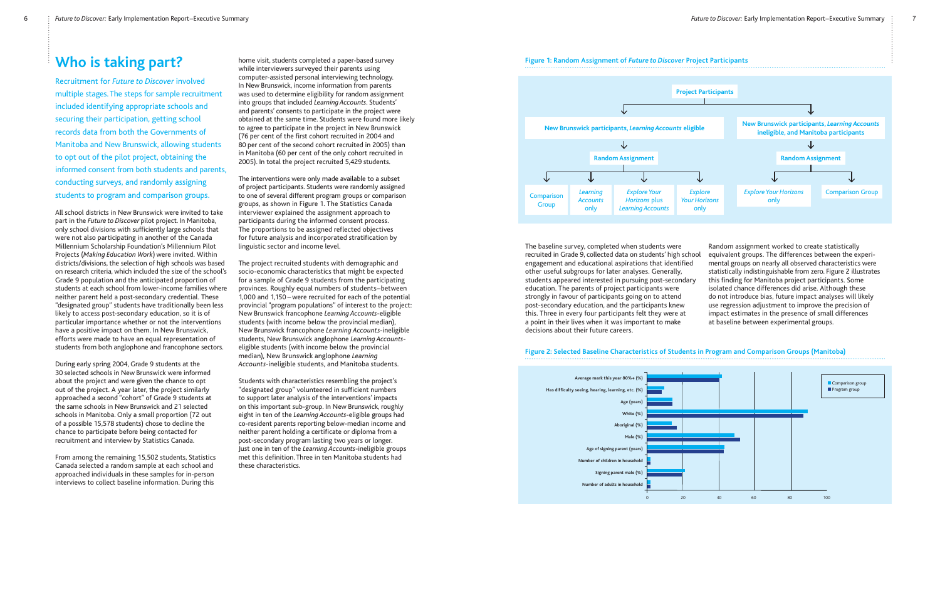

### **Figure 2: Selected Baseline Characteristics of Students in Program and Comparison Groups (Manitoba)**

### **Who is taking part?**

Recruitment for *Future to Discover* involved multiple stages. The steps for sample recruitment included identifying appropriate schools and securing their participation, getting school records data from both the Governments of Manitoba and New Brunswick, allowing students to opt out of the pilot project, obtaining the informed consent from both students and parents, conducting surveys, and randomly assigning students to program and comparison groups.

All school districts in New Brunswick were invited to take part in the *Future to Discover* pilot project. In Manitoba, only school divisions with sufficiently large schools that were not also participating in another of the Canada Millennium Scholarship Foundation's Millennium Pilot Projects (*Making Education Work*) were invited. Within districts/divisions, the selection of high schools was based on research criteria, which included the size of the school's Grade 9 population and the anticipated proportion of students at each school from lower-income families where neither parent held a post-secondary credential. These "designated group" students have traditionally been less likely to access post-secondary education, so it is of particular importance whether or not the interventions have a positive impact on them. In New Brunswick, efforts were made to have an equal representation of students from both anglophone and francophone sectors.

During early spring 2004, Grade 9 students at the 30 selected schools in New Brunswick were informed about the project and were given the chance to opt out of the project. A year later, the project similarly approached a second "cohort" of Grade 9 students at the same schools in New Brunswick and 21 selected schools in Manitoba. Only a small proportion (72 out of a possible 15,578 students) chose to decline the chance to participate before being contacted for recruitment and interview by Statistics Canada.

From among the remaining 15,502 students, Statistics Canada selected a random sample at each school and approached individuals in these samples for in-person interviews to collect baseline information. During this

home visit, students completed a paper-based survey while interviewers surveyed their parents using computer-assisted personal interviewing technology. In New Brunswick, income information from parents was used to determine eligibility for random assignment into groups that included *Learning Accounts*. Students' and parents' consents to participate in the project were obtained at the same time. Students were found more likely to agree to participate in the project in New Brunswick (76 per cent of the first cohort recruited in 2004 and 80 per cent of the second cohort recruited in 2005) than in Manitoba (60 per cent of the only cohort recruited in 2005). In total the project recruited 5,429 students.



The interventions were only made available to a subset of project participants. Students were randomly assigned to one of several different program groups or comparison groups, as shown in Figure 1. The Statistics Canada interviewer explained the assignment approach to participants during the informed consent process. The proportions to be assigned reflected objectives for future analysis and incorporated stratification by linguistic sector and income level.

The project recruited students with demographic and socio-economic characteristics that might be expected for a sample of Grade 9 students from the participating provinces. Roughly equal numbers of students – between 1,000 and 1,150 – were recruited for each of the potential provincial "program populations" of interest to the project: New Brunswick francophone *Learning Accounts*-eligible students (with income below the provincial median), New Brunswick francophone *Learning Accounts*-ineligible students, New Brunswick anglophone *Learning Accounts*eligible students (with income below the provincial median), New Brunswick anglophone *Learning Accounts*-ineligible students, and Manitoba students.

Students with characteristics resembling the project's "designated group" volunteered in sufficient numbers to support later analysis of the interventions' impacts on this important sub-group. In New Brunswick, roughly eight in ten of the *Learning Accounts*-eligible groups had co-resident parents reporting below-median income and neither parent holding a certificate or diploma from a post-secondary program lasting two years or longer. Just one in ten of the *Learning Accounts*-ineligible groups met this definition. Three in ten Manitoba students had these characteristics.

The baseline survey, completed when students were recruited in Grade 9, collected data on students' high school engagement and educational aspirations that identified other useful subgroups for later analyses. Generally, students appeared interested in pursuing post-secondary education. The parents of project participants were strongly in favour of participants going on to attend post-secondary education, and the participants knew this. Three in every four participants felt they were at a point in their lives when it was important to make decisions about their future careers. Random assignment worked to create statistically equivalent groups. The differences between the experimental groups on nearly all observed characteristics were statistically indistinguishable from zero. Figure 2 illustrates this finding for Manitoba project participants. Some isolated chance differences did arise. Although these do not introduce bias, future impact analyses will likely use regression adjustment to improve the precision of impact estimates in the presence of small differences at baseline between experimental groups.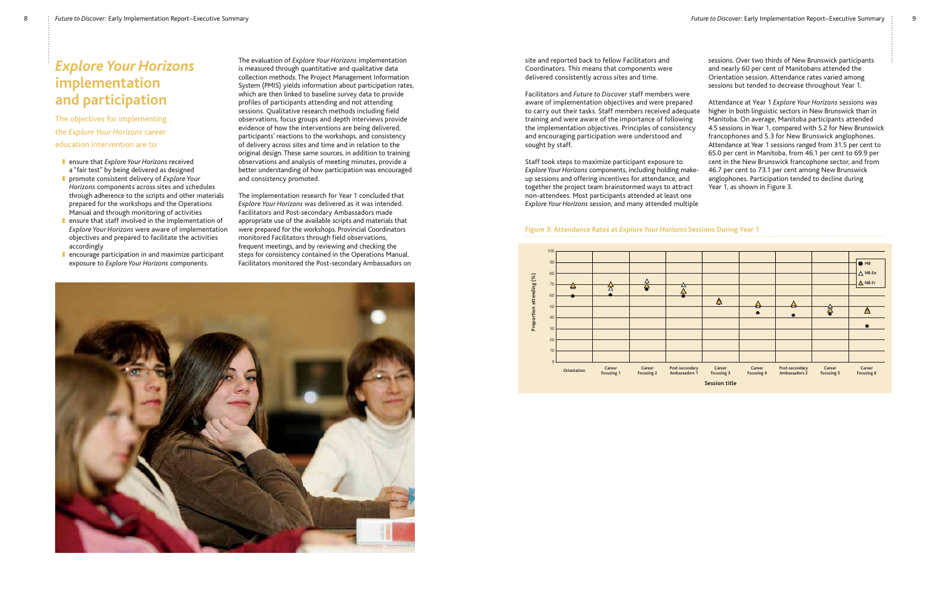## $Implementation$ **and participation**



The objectives for implementing the *Explore Your Horizons* career education intervention are to:

- **■** ensure that *Explore Your Horizons* received a "fair test" by being delivered as designed
- promote consistent delivery of *Explore Your Horizons* components across sites and schedules through adherence to the scripts and other materials prepared for the workshops and the Operations Manual and through monitoring of activities
- **n** ensure that staff involved in the implementation of *Explore Your Horizons* were aware of implementation objectives and prepared to facilitate the activities accordingly
- encourage participation in and maximize participant exposure to *Explore Your Horizons* components.

The evaluation of *Explore Your Horizons* implementation is measured through quantitative and qualitative data collection methods. The Project Management Information System (PMIS) yields information about participation rates, which are then linked to baseline survey data to provide profiles of participants attending and not attending sessions. Qualitative research methods including field observations, focus groups and depth interviews provide evidence of how the interventions are being delivered, participants' reactions to the workshops, and consistency of delivery across sites and time and in relation to the original design. These same sources, in addition to training observations and analysis of meeting minutes, provide a better understanding of how participation was encouraged and consistency promoted.

The implementation research for Year 1 concluded that *Explore Your Horizons* was delivered as it was intended. Facilitators and Post-secondary Ambassadors made appropriate use of the available scripts and materials that were prepared for the workshops. Provincial Coordinators monitored Facilitators through field observations, frequent meetings, and by reviewing and checking the steps for consistency contained in the Operations Manual. Facilitators monitored the Post-secondary Ambassadors on



### **Figure 3: Attendance Rates at** *Explore Your Horizons* **Sessions During Year 1**

site and reported back to fellow Facilitators and Coordinators. This means that components were delivered consistently across sites and time.

Facilitators and *Future to Discover* staff members were aware of implementation objectives and were prepared to carry out their tasks. Staff members received adequate training and were aware of the importance of following the implementation objectives. Principles of consistency and encouraging participation were understood and sought by staff. Staff took steps to maximize participant exposure to Attendance at Year 1 *Explore Your Horizons* sessions was higher in both linguistic sectors in New Brunswick than in Manitoba. On average, Manitoba participants attended 4.5 sessions in Year 1, compared with 5.2 for New Brunswick francophones and 5.3 for New Brunswick anglophones. Attendance at Year 1 sessions ranged from 31.5 per cent to 65.0 per cent in Manitoba, from 46.1 per cent to 69.9 per cent in the New Brunswick francophone sector, and from 46.7 per cent to 73.1 per cent among New Brunswick anglophones. Participation tended to decline during

sessions. Over two thirds of New Brunswick participants and nearly 60 per cent of Manitobans attended the Orientation session. Attendance rates varied among sessions but tended to decrease throughout Year 1.

*Explore Your Horizons* components, including holding makeup sessions and offering incentives for attendance, and together the project team brainstormed ways to attract non-attendees. Most participants attended at least one *Explore Your Horizons* session, and many attended multiple Year 1, as shown in Figure 3.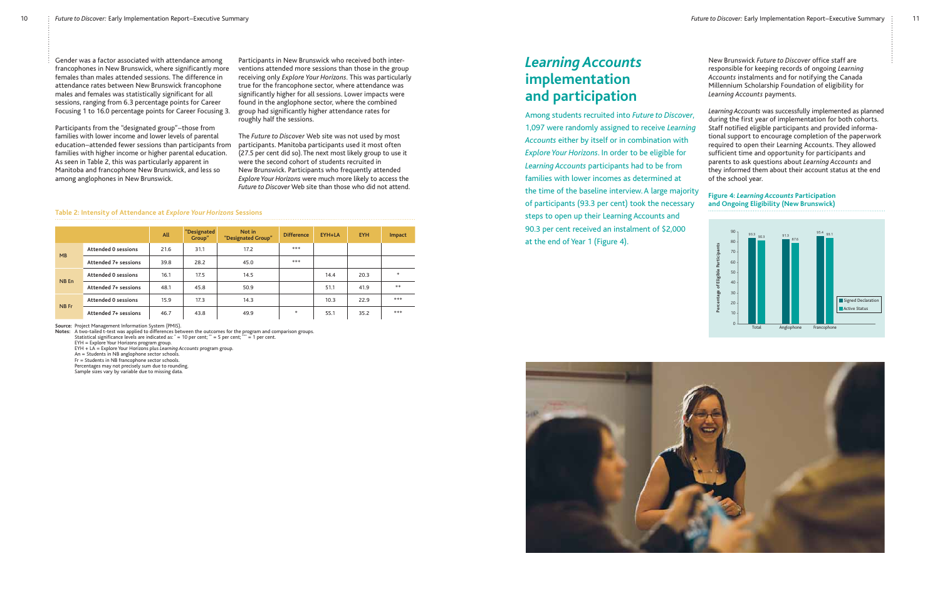Gender was a factor associated with attendance among francophones in New Brunswick, where significantly more females than males attended sessions. The difference in attendance rates between New Brunswick francophone males and females was statistically significant for all sessions, ranging from 6.3 percentage points for Career Focusing 1 to 16.0 percentage points for Career Focusing 3.

Participants from the "designated group"-those from families with lower income and lower levels of parental education-attended fewer sessions than participants from families with higher income or higher parental education. As seen in Table 2, this was particularly apparent in Manitoba and francophone New Brunswick, and less so among anglophones in New Brunswick.

Participants in New Brunswick who received both interventions attended more sessions than those in the group receiving only *Explore Your Horizons*. This was particularly true for the francophone sector, where attendance was significantly higher for all sessions. Lower impacts were found in the anglophone sector, where the combined group had significantly higher attendance rates for roughly half the sessions.

The *Future to Discover* Web site was not used by most participants. Manitoba participants used it most often (27.5 per cent did so). The next most likely group to use it were the second cohort of students recruited in New Brunswick. Participants who frequently attended *Explore Your Horizons* were much more likely to access the *Future to Discover* Web site than those who did not attend.

### **Table 2: Intensity of Attendance at** *Explore Your Horizons* **Sessions**

|       |                            | All  | "Designated<br>Group" | Not in<br>"Designated Group" | <b>Difference</b> | EYH+LA | <b>EYH</b> | Impact |
|-------|----------------------------|------|-----------------------|------------------------------|-------------------|--------|------------|--------|
| MB    | <b>Attended 0 sessions</b> | 21.6 | 31.1                  | 17.2                         | ***               |        |            |        |
|       | Attended 7+ sessions       | 39.8 | 28.2                  | 45.0                         | ***               |        |            |        |
| NB En | <b>Attended 0 sessions</b> | 16.1 | 17.5                  | 14.5                         |                   | 14.4   | 20.3       | $*$    |
|       | Attended 7+ sessions       | 48.1 | 45.8                  | 50.9                         |                   | 51.1   | 41.9       | **     |
| NB Fr | <b>Attended 0 sessions</b> | 15.9 | 17.3                  | 14.3                         |                   | 10.3   | 22.9       | ***    |
|       | Attended 7+ sessions       | 46.7 | 43.8                  | 49.9                         | $\ast$            | 55.1   | 35.2       | ***    |

**Source:** Project Management Information System (PMIS). **Notes:** A two-tailed t-test was applied to differences between the outcomes for the program and comparison groups.

Statistical significance levels are indicated as: \* = 10 per cent; \*\* = 5 per cent; \*\*\* = 1 per cent.

EYH = Explore Your Horizons program group. EYH + LA = Explore Your Horizons plus *Learning Accounts* program group.

An = Students in NB anglophone sector schools.

Fr = Students in NB francophone sector schools.

Percentages may not precisely sum due to rounding.

Sample sizes vary by variable due to missing data.

## *Learning Accounts*  **implementation and participation**

Among students recruited into *Future to Discover*, 1,097 were randomly assigned to receive *Learning Accounts* either by itself or in combination with *Explore Your Horizons*. In order to be eligible for *Learning Accounts* participants had to be from families with lower incomes as determined at the time of the baseline interview. A large majority of participants (93.3 per cent) took the necessary steps to open up their Learning Accounts and 90.3 per cent received an instalment of \$2,000 at the end of Year 1 (Figure 4).



New Brunswick *Future to Discover* office staff are responsible for keeping records of ongoing *Learning Accounts* instalments and for notifying the Canada Millennium Scholarship Foundation of eligibility for *Learning Accounts* payments.

*Learning Accounts* was successfully implemented as planned during the first year of implementation for both cohorts. Staff notified eligible participants and provided informational support to encourage completion of the paperwork required to open their Learning Accounts. They allowed sufficient time and opportunity for participants and parents to ask questions about *Learning Accounts* and they informed them about their account status at the end of the school year.

### **Figure 4:** *Learning Accounts* **Participation and Ongoing Eligibility (New Brunswick)**